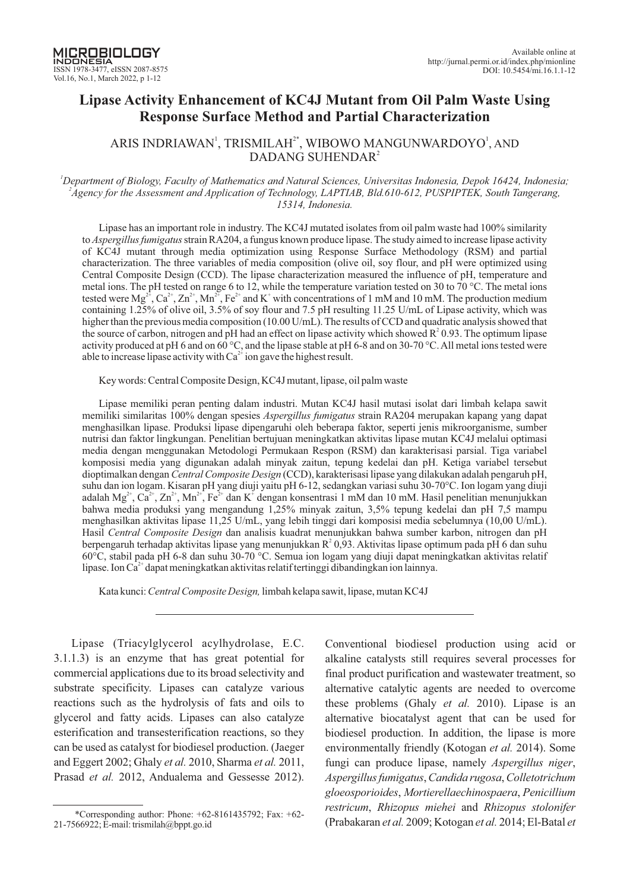# **Lipase Activity Enhancement of KC4J Mutant from Oil Palm Waste Using Response Surface Method nd Partial Characterization a**

# ARIS INDRIAWAN', TRISMILAH $^{\scriptscriptstyle 2^*}$ , WIBOWO MANGUNWARDOYO', AND DADANG SUHENDAR<sup>2</sup>

#### *<sup>1</sup>Department of Biology, Faculty of Mathematics and Natural Sciences, Universitas Indonesia, Depok 16424, Indonesia; 2 Agency for the Assessment and Application of Technology, LAPTIAB, Bld.610-612, PUSPIPTEK, South Tangerang, 15314, Indonesia.*

Lipase has an important role in industry. The KC4J mutated isolates from oil palm waste had 100% similarity to *Aspergillus fumigatus* strain RA204, a fungus known produce lipase. The study aimed to increase lipase activity of KC4J mutant through media optimization using Response Surface Methodology (RSM) and partial characterization. The three variables of media composition (olive oil, soy flour, and pH were optimized using Central Composite Design (CCD). The lipase characterization measured the influence of pH, temperature and metal ions. The pH tested on range 6 to 12, while the temperature variation tested on 30 to 70 °C. The metal ions tested were  $Mg^{2^2}$ ,  $Ca^{2^2}$ ,  $Zn^{2^2}$ ,  $Mn^{2^2}$ ,  $Fe^{2^2}$  and K<sup>+</sup> with concentrations of 1 mM and 10 mM. The production medium containing 1.25% of olive oil, 3.5% of soy flour and 7.5 pH resulting 11.25 U/mL of Lipase activity, which was higher than the previous media composition (10.00 U/mL). The results of CCD and quadratic analysis showed that the source of carbon, nitrogen and pH had an effect on lipase activity which showed  $R^2$  0.93. The optimum lipase activity produced at pH 6 and on 60 °C, and the lipase stable at pH 6-8 and on 30-70 °C.All metal ions tested were able to increase lipase activity with  $Ca^{2+}$  ion gave the highest result.

Key words: Central Composite Design, KC4J mutant, lipase, oil palm waste

Lipase memiliki peran penting dalam industri. Mutan KC4J hasil mutasi isolat dari limbah kelapa sawit memiliki similaritas 100% dengan spesies *Aspergillus fumigatus* strain RA204 merupakan kapang yang dapat menghasilkan lipase. Produksi lipase dipengaruhi oleh beberapa faktor, seperti jenis mikroorganisme, sumber nutrisi dan faktor lingkungan. Penelitian bertujuan meningkatkan aktivitas lipase mutan KC4J melalui optimasi media dengan menggunakan Metodologi Permukaan Respon (RSM) dan karakterisasi parsial. Tiga variabel komposisi media yang digunakan adalah minyak zaitun, tepung kedelai dan pH. Ketiga variabel tersebut dioptimalkan dengan Central Composite Design (CCD), karakterisasi lipase yang dilakukan adalah pengaruh pH, suhu dan ion logam. Kisaran pH yang diuji yaitu pH 6-12, sedangkan variasi suhu 30-70°C. Ion logam yang diuji adalah  $Mg^{2+}$ , Ca<sup>2+</sup>, Zn<sup>2+</sup>, Mn<sup>2+</sup>, Fe<sup>2+</sup> dan K<sup>+</sup> dengan konsentrasi 1 mM dan 10 mM. Hasil penelitian menunjukkan bahwa media produksi yang mengandung 1,25% minyak zaitun, 3,5% tepung kedelai dan pH 7,5 mampu menghasilkan aktivitas lipase 11,25 U/mL, yang lebih tinggi dari komposisi media sebelumnya (10,00 U/mL). Hasil Central Composite Design dan analisis kuadrat menunjukkan bahwa sumber karbon, nitrogen dan pH berpengaruh terhadap aktivitas lipase yang menunjukkan  $R^2$  0,93. Aktivitas lipase optimum pada pH 6 dan suhu 60°C, stabil pada pH 6-8 dan suhu 30-70 °C. Semua ion logam yang diuji dapat meningkatkan aktivitas relatif lipase. Ion Ca<sup>2+</sup> dapat meningkatkan aktivitas relatif tertinggi dibandingkan ion lainnya.

Kata kunci: Central Composite Design, limbah kelapa sawit, lipase, mutan KC4J

Lipase (Triacylglycerol acylhydrolase, E.C. 3.1.1.3) is an enzyme that has great potential for commercial applications due to its broad selectivity and substrate specificity. Lipases can catalyze various reactions such as the hydrolysis of fats and oils to glycerol and fatty acids. Lipases can also catalyze esterification and transesterification reactions, so they can be used as catalyst for biodiesel production. (Jaeger and Eggert 2002; Ghaly *et al.* 2010, Sharma *et al.* 2011, Prasad et al. 2012, Andualema and Gessesse 2012).

Conventional biodiesel production using acid or alkaline catalysts still requires several processes for final product purification and wastewater treatment, so alternative catalytic agents are needed to overcome these problems (Ghaly *et al.* 2010). Lipase is an alternative biocatalyst agent that can be used for biodiesel production. In addition, the lipase is more environmentally friendly (Kotogan *et al.* 2014). Some fungi can produce lipase, namely *Aspergillus niger*, *Aspergillus fumigatus Candida rugosa Colletotrichum* , , *gloeosporioides Mortierellaechinospaera Penicillium* , , *restricum, Rhizopus miehei and Rhizopus stolonifer* (Prabakaran *et al.* 2009; Kotogan *et al.* 2014; El-Batal *et* 

<sup>\*</sup>Corresponding author: Phone:  $+62-8161435792$ ; Fax:  $+62-$ 21-7566922; E-mail: trismilah@bppt.go.id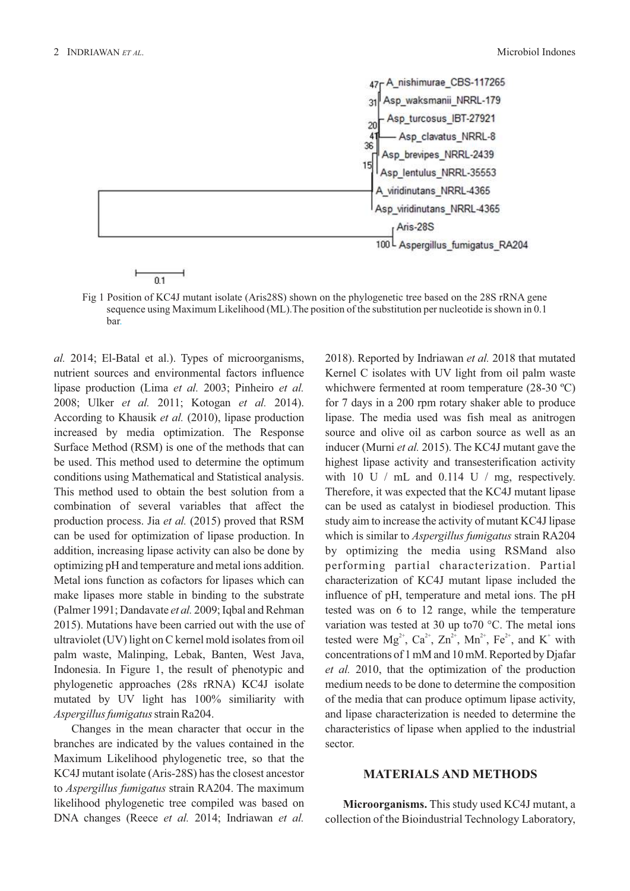

Fig 1 Position of KC4J mutant isolate (Aris28S) shown on the phylogenetic tree based on the 28S rRNA gene sequence using Maximum Likelihood (ML).The position of the substitution per nucleotide is shown in 0.1 bar.

*al.* 2014; El-Batal et al.). Types of microorganisms, nutrient sources and environmental factors influence lipase production (Lima *et al.* 2003; Pinheiro *et al.* 2008; Ulker et al. 2011; Kotogan et al. 2014). According to Khausik et al. (2010), lipase production increased by media optimization. The Response Surface Method (RSM) is one of the methods that can be used. This method used to determine the optimum conditions using Mathematical and Statistical analysis. This method used to obtain the best solution from a combination of several variables that affect the production process. Jia et al. (2015) proved that RSM can be used for optimization of lipase production. In addition, increasing lipase activity can also be done by optimizing pH and temperature and metal ions addition. Metal ions function as cofactors for lipases which can make lipases more stable in binding to the substrate (Palmer 1991; Dandavate et al. 2009; Igbal and Rehman 2015). Mutations have been carried out with the use of ultraviolet (UV) light on C kernel mold isolates from oil palm waste, Malinping, Lebak, Banten, West Java, Indonesia. In Figure 1, the result of phenotypic and phylogenetic approaches (28s rRNA) KC4J isolate mutated by UV light has 100% similiarity with *Aspergillus fumigatus*strain Ra204.

Changes in the mean character that occur in the branches are indicated by the values contained in the Maximum Likelihood phylogenetic tree, so that the KC4J mutant isolate (Aris-28S) has the closest ancestor to *Aspergillus fumigatus* strain RA204. The maximum likelihood phylogenetic tree compiled was based on DNA changes (Reece et al. 2014; Indriawan et al. 2018). Reported by Indriawan et al. 2018 that mutated Kernel C isolates with UV light from oil palm waste whichwere fermented at room temperature (28-30 ºC) for 7 days in a 200 rpm rotary shaker able to produce lipase. The media used was fish meal as anitrogen source and olive oil as carbon source as well as an inducer (Murni et al. 2015). The KC4J mutant gave the highest lipase activity and transesterification activity with 10 U  $/$  mL and 0.114 U  $/$  mg, respectively. Therefore, it was expected that the KC4J mutant lipase can be used as catalyst in biodiesel production. This study aim to increase the activity of mutant KC4J lipase which is similar to *Aspergillus fumigatus* strain RA204 by optimizing the media using RSMand also performing partial characterization. Partial characterization of KC4J mutant lipase included the influence of pH, temperature and metal ions. The pH tested was on 6 to 12 range, while the temperature variation was tested at 30 up to70 °C. The metal ions tested were  $Mg^{2+}$ ,  $Ca^{2+}$ ,  $Zn^{2+}$ ,  $Mn^{2+}$ ,  $Fe^{2+}$ , and  $K^+$  with concentrations of 1 mM and 10 mM. Reported by Djafar *et al.* 2010, that the optimization of the production medium needs to be done to determine the composition of the media that can produce optimum lipase activity, and lipase characterization is needed to determine the characteristics of lipase when applied to the industrial sector.

### **MATERIALS AND METHODS**

**Microorganisms.** This study used KC4J mutant, a collection of the Bioindustrial Technology Laboratory,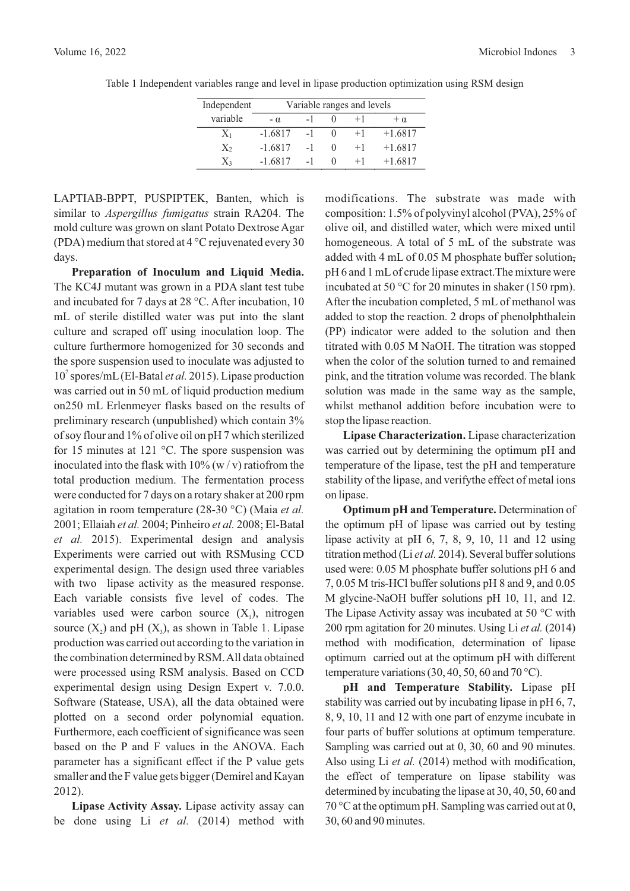| Independent | Variable ranges and levels |      |  |      |           |  |  |  |
|-------------|----------------------------|------|--|------|-----------|--|--|--|
| variable    | $- \alpha$                 | $-1$ |  | $+1$ | $+\alpha$ |  |  |  |
| $X_1$       | $-1.6817$                  | $-1$ |  | $+1$ | $+1.6817$ |  |  |  |
| X2          | $-1.6817$                  | $-1$ |  | $+1$ | $+1.6817$ |  |  |  |
| X3          | $-1.6817$                  | $-1$ |  | $+1$ | $+1.6817$ |  |  |  |

Table 1 Independent variables range and level in lipase production optimization using RSM design

LAPTIAB-BPPT, PUSPIPTEK, Banten, which is similar to *Aspergillus fumigatus* strain RA204. The mold culture was grown on slant Potato Dextrose Agar (PDA) medium that stored at 4 °C rejuvenated every 30 days.

**Preparation of Inoculum and Liquid Media.** The KC4J mutant was grown in a PDA slant test tube and incubated for 7 days at 28 °C. After incubation, 10 mL of sterile distilled water was put into the slant culture and scraped off using inoculation loop. The culture furthermore homogenized for 30 seconds and the spore suspension used to inoculate was adjusted to 10<sup>7</sup> spores/mL (El-Batal et al. 2015). Lipase production was carried out in 50 mL of liquid production medium on250 mL Erlenmeyer flasks based on the results of preliminary research (unpublished) which contain 3% of soy flour and 1% of olive oil on pH 7 which sterilized for 15 minutes at 121 °C. The spore suspension was inoculated into the flask with  $10\%$  (w/v) ratiofrom the total production medium. The fermentation process were conducted for 7 days on a rotary shaker at 200 rpm agitation in room temperature (28-30 °C) (Maia *et al.* 2001; Ellaiah et al. 2004; Pinheiro et al. 2008; El-Batal *et al.* 2015). Experimental design and analysis Experiments were carried out with RSMusing CCD experimental design. The design used three variables with two lipase activity as the measured response. Each variable consists five level of codes. The variables used were carbon source  $(X_1)$ , nitrogen source  $(X_2)$  and pH  $(X_3)$ , as shown in Table 1. Lipase production was carried out according to the variation in the combination determined by RSM.All data obtained were processed using RSM analysis. Based on CCD experimental design using Design Expert v. 7.0.0. Software (Statease, USA), all the data obtained were plotted on a second order polynomial equation. Furthermore, each coefficient of significance was seen based on the P and F values in the ANOVA. Each parameter has a significant effect if the P value gets smaller and the F value gets bigger (Demirel and Kayan 2012).

**Lipase Activity Assay.** Lipase activity assay can be done using Li et al. (2014) method with modifications. The substrate was made with composition: 1.5% of polyvinyl alcohol (PVA), 25% of olive oil, and distilled water, which were mixed until homogeneous. A total of 5 mL of the substrate was added with 4 mL of 0.05 M phosphate buffer solution, pH 6 and 1 mLof crude lipase extract.The mixture were incubated at 50  $\degree$ C for 20 minutes in shaker (150 rpm). After the incubation completed, 5 mL of methanol was added to stop the reaction. 2 drops of phenolphthalein (PP) indicator were added to the solution and then titrated with 0.05 M NaOH. The titration was stopped when the color of the solution turned to and remained pink, and the titration volume was recorded. The blank solution was made in the same way as the sample, whilst methanol addition before incubation were to stop the lipase reaction.

**Lipase Characterization.** Lipase characterization was carried out by determining the optimum pH and temperature of the lipase, test the pH and temperature stability of the lipase, and verifythe effect of metal ions on lipase.

**Optimum pH and Temperature.** Determination of the optimum pH of lipase was carried out by testing lipase activity at pH  $6, 7, 8, 9, 10, 11$  and 12 using titration method (Li et al. 2014). Several buffer solutions used were: 0.05 M phosphate buffer solutions pH 6 and 7, 0.05 M tris-HCl buffer solutions pH 8 and 9, and 0.05 M glycine-NaOH buffer solutions pH 10, 11, and 12. The Lipase Activity assay was incubated at 50 °C with 200 rpm agitation for 20 minutes. Using Li et al. (2014) method with modification, determination of lipase optimum carried out at the optimum pH with different temperature variations (30, 40, 50, 60 and 70 °C).

**pH and Temperature Stability.** Lipase pH stability was carried out by incubating lipase in pH 6, 7, 8, 9, 10, 11 and 12 with one part of enzyme incubate in four parts of buffer solutions at optimum temperature. Sampling was carried out at 0, 30, 60 and 90 minutes. Also using Li *et al.* (2014) method with modification, the effect of temperature on lipase stability was determined by incubating the lipase at 30, 40, 50, 60 and 70 °C at the optimum pH. Sampling was carried out at 0, 30, 60 and 90 minutes.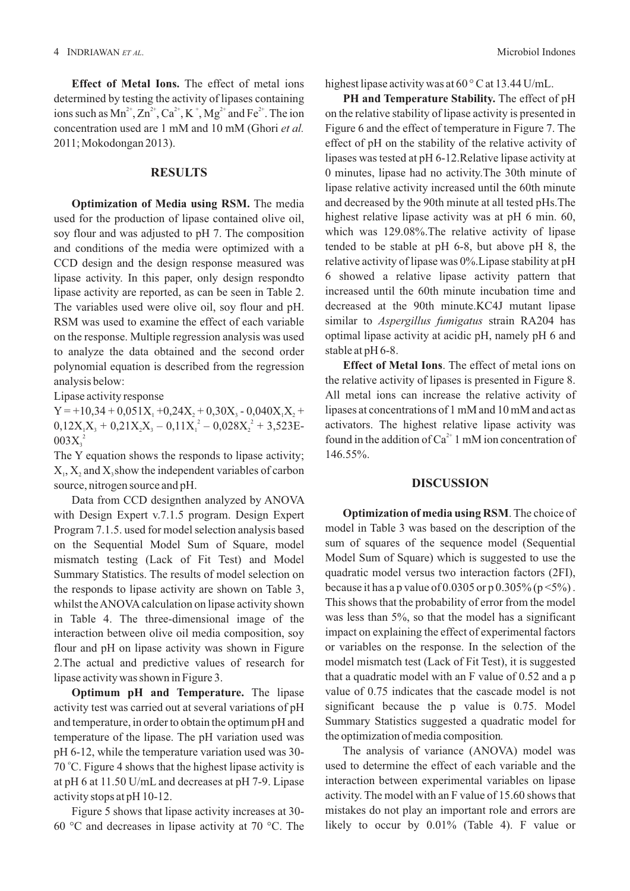**Effect of Metal Ions.** The effect of metal ions determined by testing the activity of lipases containing ions such as  $Mn^{2+}$ ,  $Zn^{2+}$ ,  $Ca^{2+}$ ,  $K^+$ ,  $Mg^{2+}$  and  $Fe^{2+}$ . The ion concentration used are 1 mM and 10 mM (Ghori *et al.* 2011; Mokodongan 2013).

### **RESULTS**

**Optimization of Media using RSM.** The media used for the production of lipase contained olive oil, soy flour and was adjusted to pH 7. The composition and conditions of the media were optimized with a CCD design and the design response measured was lipase activity. In this paper, only design respondto lipase activity are reported, as can be seen in Table 2. The variables used were olive oil, soy flour and pH. RSM was used to examine the effect of each variable on the response. Multiple regression analysis was used to analyze the data obtained and the second order polynomial equation is described from the regression analysis below:

Lipase activity response

 $Y = +10,34 + 0,051X_1 + 0,24X_2 + 0,30X_3 - 0,040X_1X_2 +$  $0,12X_1X_3 + 0,21X_2X_3 - 0,11X_1^2 - 0,028X_2^2 + 3,523E$  $003X_3^2$ 

The Y equation shows the responds to lipase activity;  $X_1, X_2$  and  $X_3$  show the independent variables of carbon source, nitrogen source and pH.

Data from CCD designthen analyzed by ANOVA with Design Expert v.7.1.5 program. Design Expert Program 7.1.5. used for model selection analysis based on the Sequential Model Sum of Square, model mismatch testing (Lack of Fit Test) and Model Summary Statistics. The results of model selection on the responds to lipase activity are shown on Table 3, whilst the ANOVA calculation on lipase activity shown in Table 4. The three-dimensional image of the interaction between olive oil media composition, soy flour and pH on lipase activity was shown in Figure 2.The actual and predictive values of research for lipase activity was shown in Figure 3.

**Optimum pH and Temperature.** The lipase activity test was carried out at several variations of pH and temperature, in order to obtain the optimum pH and temperature of the lipase. The pH variation used was pH 6-12, while the temperature variation used was 30- 70 °C. Figure 4 shows that the highest lipase activity is at pH 6 at 11.50 U/mL and decreases at pH 7-9. Lipase activity stops at pH 10-12.

Figure 5 shows that lipase activity increases at 30- 60 °C and decreases in lipase activity at 70 °C. The highest lipase activity was at 60 °C at 13.44 U/mL.

**PH and Temperature Stability.** The effect of pH on the relative stability of lipase activity is presented in Figure 6 and the effect of temperature in Figure 7. The effect of pH on the stability of the relative activity of lipases was tested at pH 6-12.Relative lipase activity at 0 minutes, lipase had no activity.The 30th minute of lipase relative activity increased until the 60th minute and decreased by the 90th minute at all tested pHs.The highest relative lipase activity was at pH 6 min. 60, which was 129.08%. The relative activity of lipase tended to be stable at pH 6-8, but above pH 8, the relative activity of lipase was 0%.Lipase stability at pH 6 showed a relative lipase activity pattern that increased until the 60th minute incubation time and decreased at the 90th minute.KC4J mutant lipase similar to *Aspergillus fumigatus* strain RA204 has optimal lipase activity at acidic pH, namely pH 6 and stable at pH 6-8.

**Effect of Metal Ions**. The effect of metal ions on the relative activity of lipases is presented in Figure 8. All metal ions can increase the relative activity of lipases at concentrations of 1 mM and 10 mM and act as activators. The highest relative lipase activity was found in the addition of  $Ca^{2+}$  1 mM ion concentration of 146.55%.

#### **DISCUSSION**

**Optimization of media using RSM**. The choice of model in Table 3 was based on the description of the sum of squares of the sequence model (Sequential Model Sum of Square) which is suggested to use the quadratic model versus two interaction factors (2FI), because it has a p value of 0.0305 or p  $0.305\%$  (p <5%). This shows that the probability of error from the model was less than 5%, so that the model has a significant impact on explaining the effect of experimental factors or variables on the response. In the selection of the model mismatch test (Lack of Fit Test), it is suggested that a quadratic model with an F value of 0.52 and a p value of 0.75 indicates that the cascade model is not significant because the p value is 0.75. Model Summary Statistics suggested a quadratic model for the optimization of media composition*.*

The analysis of variance (ANOVA) model was used to determine the effect of each variable and the interaction between experimental variables on lipase activity. The model with an F value of 15.60 shows that mistakes do not play an important role and errors are likely to occur by 0.01% (Table 4). F value or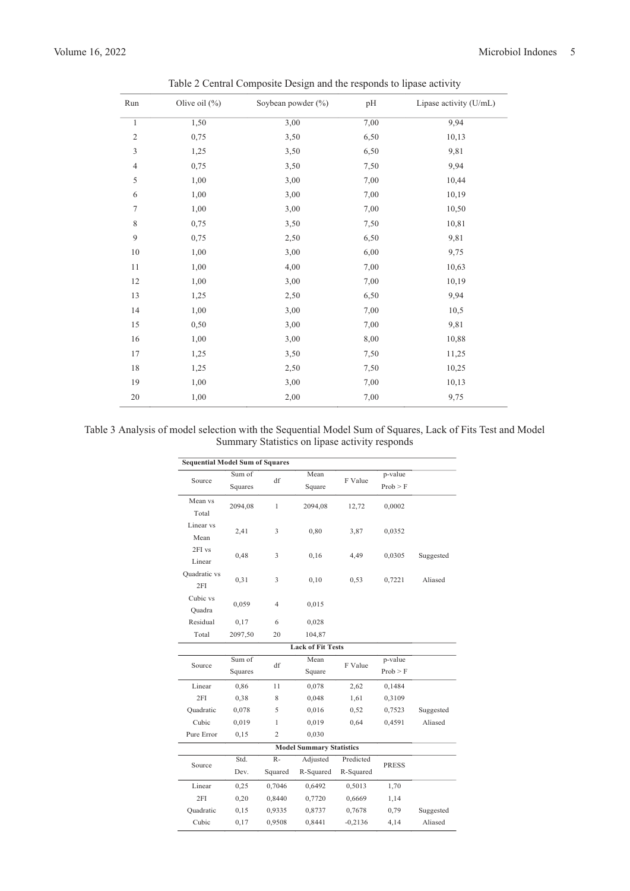| Run            | Olive oil $(\%)$ | Soybean powder (%) | pH   | Lipase activity (U/mL) |
|----------------|------------------|--------------------|------|------------------------|
| $\mathbf{1}$   | 1,50             | 3,00               | 7,00 | 9,94                   |
| $\overline{c}$ | 0,75             | 3,50               | 6,50 | 10,13                  |
| 3              | 1,25             | 3,50               | 6,50 | 9,81                   |
| $\overline{4}$ | 0,75             | 3,50               | 7,50 | 9,94                   |
| 5              | 1,00             | 3,00               | 7,00 | 10,44                  |
| 6              | 1,00             | 3,00               | 7,00 | 10,19                  |
| 7              | 1,00             | 3,00               | 7,00 | 10,50                  |
| $\,$ 8 $\,$    | 0,75             | 3,50               | 7,50 | 10,81                  |
| 9              | 0,75             | 2,50               | 6,50 | 9,81                   |
| 10             | 1,00             | 3,00               | 6,00 | 9,75                   |
| $1\,1$         | 1,00             | 4,00               | 7,00 | 10,63                  |
| 12             | 1,00             | 3,00               | 7,00 | 10,19                  |
| 13             | 1,25             | 2,50               | 6,50 | 9,94                   |
| 14             | 1,00             | 3,00               | 7,00 | 10,5                   |
| 15             | 0,50             | 3,00               | 7,00 | 9,81                   |
| 16             | 1,00             | 3,00               | 8,00 | 10,88                  |
| 17             | 1,25             | 3,50               | 7,50 | 11,25                  |
| $18\,$         | 1,25             | 2,50               | 7,50 | 10,25                  |
| 19             | 1,00             | 3,00               | 7,00 | 10,13                  |
| $20\,$         | 1,00             | 2,00               | 7,00 | 9,75                   |

Table 2 Central Composite Design and the responds to lipase activity

## Table 3 Analysis of model selection with the Sequential Model Sum of Squares, Lack of Fits Test and Model Summary Statistics on lipase activity responds

| <b>Sequential Model Sum of Squares</b> |                          |                |           |           |              |           |  |  |
|----------------------------------------|--------------------------|----------------|-----------|-----------|--------------|-----------|--|--|
| Source                                 | Sum of                   | df             | Mean      | F Value   | p-value      |           |  |  |
|                                        | Squares                  |                | Square    |           | Prob > F     |           |  |  |
| Mean vs                                | 2094,08                  | 1              | 2094,08   | 12,72     | 0,0002       |           |  |  |
| Total                                  |                          |                |           |           |              |           |  |  |
| Linear vs                              | 2,41                     | 3              | 0,80      | 3,87      | 0,0352       |           |  |  |
| Mean                                   |                          |                |           |           |              |           |  |  |
| 2FI vs                                 | 0,48                     | 3              | 0,16      | 4,49      | 0,0305       | Suggested |  |  |
| Linear                                 |                          |                |           |           |              |           |  |  |
| Quadratic vs                           | 0,31                     | 3              | 0,10      | 0,53      | 0,7221       | Aliased   |  |  |
| 2FI                                    |                          |                |           |           |              |           |  |  |
| Cubic vs                               | 0,059                    | $\overline{4}$ | 0,015     |           |              |           |  |  |
| Quadra                                 |                          |                |           |           |              |           |  |  |
| Residual                               | 0,17                     | 6              | 0,028     |           |              |           |  |  |
| Total                                  | 2097,50                  | 20             | 104,87    |           |              |           |  |  |
|                                        | <b>Lack of Fit Tests</b> |                |           |           |              |           |  |  |
| Source                                 | Sum of                   | df             | Mean      | F Value   | p-value      |           |  |  |
|                                        | Squares                  |                | Square    |           | Prob > F     |           |  |  |
| Linear                                 | 0,86                     | 11             | 0,078     | 2,62      | 0,1484       |           |  |  |
| 2FI                                    | 0,38                     | 8              | 0,048     | 1,61      | 0,3109       |           |  |  |
| Quadratic                              | 0,078                    | 5              | 0,016     | 0,52      | 0,7523       | Suggested |  |  |
| Cubic                                  | 0,019                    | 1              | 0,019     | 0,64      | 0,4591       | Aliased   |  |  |
| Pure Error                             | 0,15                     | $\overline{c}$ | 0,030     |           |              |           |  |  |
| <b>Model Summary Statistics</b>        |                          |                |           |           |              |           |  |  |
| Source                                 | Std.                     | $R -$          | Adjusted  | Predicted | <b>PRESS</b> |           |  |  |
|                                        | Dev.                     | Squared        | R-Squared | R-Squared |              |           |  |  |
| Linear                                 | 0,25                     | 0,7046         | 0,6492    | 0,5013    | 1,70         |           |  |  |
| 2FI                                    | 0,20                     | 0,8440         | 0,7720    | 0,6669    | 1,14         |           |  |  |
| Quadratic                              | 0,15                     | 0,9335         | 0,8737    | 0,7678    | 0,79         | Suggested |  |  |
| Cubic                                  | 0,17                     | 0,9508         | 0,8441    | $-0,2136$ | 4,14         | Aliased   |  |  |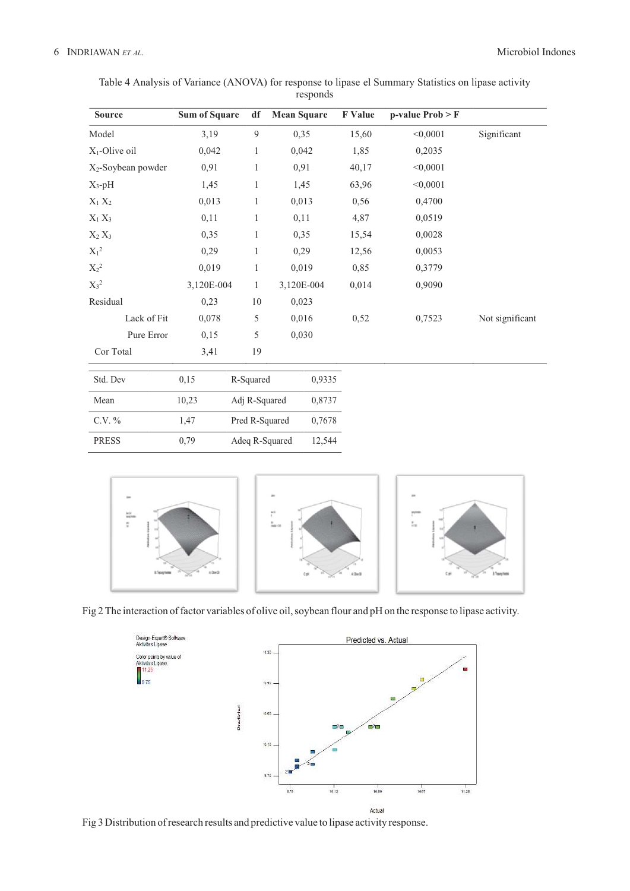| <b>Source</b>                  | <b>Sum of Square</b> | df             | <b>Mean Square</b> | F Value | $p-value Prob > F$ |                 |
|--------------------------------|----------------------|----------------|--------------------|---------|--------------------|-----------------|
| Model                          | 3,19                 | 9              | 0,35               | 15,60   | < 0,0001           | Significant     |
| $X_1$ -Olive oil               | 0,042                | $\mathbf{1}$   | 0,042              | 1,85    | 0,2035             |                 |
| X <sub>2</sub> -Soybean powder | 0,91                 | $\mathbf{1}$   | 0,91               | 40,17   | < 0,0001           |                 |
| $X_3$ -pH                      | 1,45                 | $\mathbf{1}$   | 1,45               | 63,96   | < 0,0001           |                 |
| $X_1 X_2$                      | 0,013                | $\mathbf{1}$   | 0,013              | 0,56    | 0,4700             |                 |
| $X_1 X_3$                      | 0,11                 | 1              | 0,11               | 4,87    | 0,0519             |                 |
| $X_2 X_3$                      | 0,35                 | $\mathbf{1}$   | 0,35               | 15,54   | 0,0028             |                 |
| $\mathbf{X}_1{}^2$             | 0,29                 | $\mathbf{1}$   | 0,29               | 12,56   | 0,0053             |                 |
| $X_2^2$                        | 0,019                | $\mathbf{1}$   | 0,019              | 0,85    | 0,3779             |                 |
| $X_3^2$                        | 3,120E-004           | 1              | 3,120E-004         | 0,014   | 0,9090             |                 |
| Residual                       | 0,23                 | 10             | 0,023              |         |                    |                 |
| Lack of Fit                    | 0,078                | 5              | 0,016              | 0,52    | 0,7523             | Not significant |
| Pure Error                     | 0,15                 | 5              | 0,030              |         |                    |                 |
| Cor Total                      | 3,41                 | 19             |                    |         |                    |                 |
| Std. Dev                       | 0,15                 | R-Squared      | 0,9335             |         |                    |                 |
| Mean                           | 10,23                | Adj R-Squared  | 0,8737             |         |                    |                 |
| $C.V. \%$                      | 1,47                 | Pred R-Squared | 0,7678             |         |                    |                 |
| <b>PRESS</b>                   | 0,79                 | Adeq R-Squared | 12,544             |         |                    |                 |

| Table 4 Analysis of Variance (ANOVA) for response to lipase el Summary Statistics on lipase activity |          |  |  |  |
|------------------------------------------------------------------------------------------------------|----------|--|--|--|
|                                                                                                      | responds |  |  |  |



Fig 2 The interaction of factor variables of olive oil, soybean flour and pH on the response to lipase activity.



Fig 3 Distribution of research results and predictive value to lipase activity response.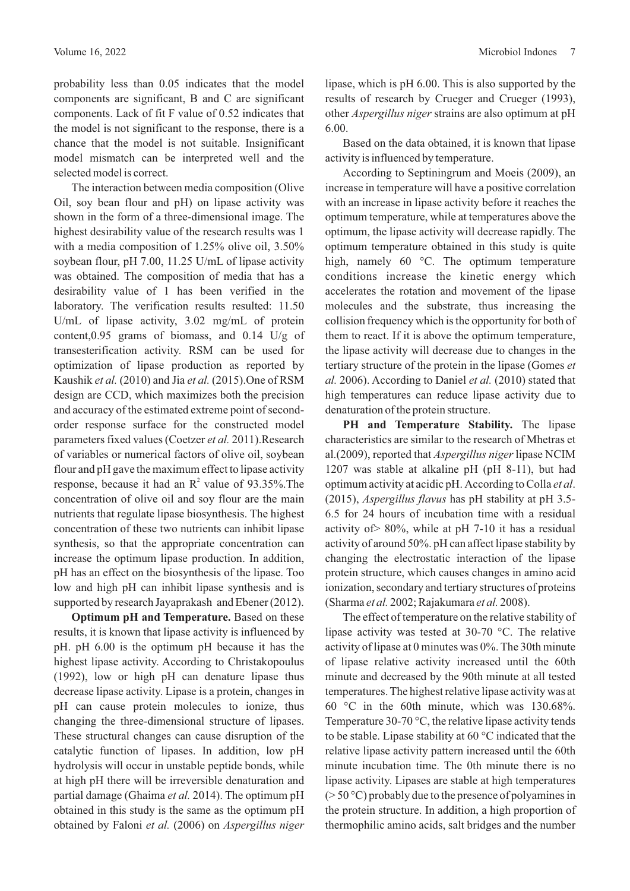probability less than 0.05 indicates that the model components are significant, B and C are significant components. Lack of fit F value of 0.52 indicates that the model is not significant to the response, there is a chance that the model is not suitable. Insignificant model mismatch can be interpreted well and the selected model is correct.

The interaction between media composition (Olive Oil, soy bean flour and pH) on lipase activity was shown in the form of a three-dimensional image. The highest desirability value of the research results was 1 with a media composition of 1.25% olive oil, 3.50% soybean flour, pH 7.00, 11.25 U/mL of lipase activity was obtained. The composition of media that has a desirability value of 1 has been verified in the laboratory. The verification results resulted: 11.50 U/mL of lipase activity, 3.02 mg/mL of protein content,0.95 grams of biomass, and 0.14 U/g of transesterification activity. RSM can be used for optimization of lipase production as reported by Kaushik et al. (2010) and Jia et al. (2015). One of RSM design are CCD, which maximizes both the precision and accuracy of the estimated extreme point of secondorder response surface for the constructed model parameters fixed values (Coetzer et al. 2011).Research of variables or numerical factors of olive oil, soybean flour and pH gave the maximum effect to lipase activity response, because it had an  $\mathbb{R}^2$  value of 93.35%. The concentration of olive oil and soy flour are the main nutrients that regulate lipase biosynthesis. The highest concentration of these two nutrients can inhibit lipase synthesis, so that the appropriate concentration can increase the optimum lipase production. In addition, pH has an effect on the biosynthesis of the lipase. Too low and high pH can inhibit lipase synthesis and is supported by research Jayaprakash and Ebener (2012).

**Optimum pH and Temperature.** Based on these results, it is known that lipase activity is influenced by pH. pH 6.00 is the optimum pH because it has the highest lipase activity. According to Christakopoulus (1992), low or high pH can denature lipase thus decrease lipase activity. Lipase is a protein, changes in pH can cause protein molecules to ionize, thus changing the three-dimensional structure of lipases. These structural changes can cause disruption of the catalytic function of lipases. In addition, low pH hydrolysis will occur in unstable peptide bonds, while at high pH there will be irreversible denaturation and partial damage (Ghaima et al. 2014). The optimum pH obtained in this study is the same as the optimum pH obtained by Faloni et al. (2006) on *Aspergillus niger*  lipase, which is pH 6.00. This is also supported by the results of research by Crueger and Crueger (1993), other *Aspergillus niger* strains are also optimum at pH 6.00.

Based on the data obtained, it is known that lipase activity is influenced by temperature.

According to Septiningrum and Moeis (2009), an increase in temperature will have a positive correlation with an increase in lipase activity before it reaches the optimum temperature, while at temperatures above the optimum, the lipase activity will decrease rapidly. The optimum temperature obtained in this study is quite high, namely 60 °C. The optimum temperature conditions increase the kinetic energy which accelerates the rotation and movement of the lipase molecules and the substrate, thus increasing the collision frequency which is the opportunity for both of them to react. If it is above the optimum temperature, the lipase activity will decrease due to changes in the tertiary structure of the protein in the lipase (Gomes *et al.* 2006). According to Daniel *et al.* (2010) stated that high temperatures can reduce lipase activity due to denaturation of the protein structure.

**PH and Temperature Stability.** The lipase characteristics are similar to the research of Mhetras et al.(2009), reported that *Aspergillus niger* lipase NCIM 1207 was stable at alkaline pH (pH 8-11), but had optimum activity at acidic pH. According to Colla *et al.* (2015), *Aspergillus flavus* has pH stability at pH 3.5-6.5 for 24 hours of incubation time with a residual activity of> 80%, while at pH 7-10 it has a residual activity of around 50%. pH can affect lipase stability by changing the electrostatic interaction of the lipase protein structure, which causes changes in amino acid ionization, secondary and tertiary structures of proteins (Sharma et al. 2002; Rajakumara et al. 2008).

The effect of temperature on the relative stability of lipase activity was tested at 30-70 °C. The relative activity of lipase at 0 minutes was 0%. The 30th minute of lipase relative activity increased until the 60th minute and decreased by the 90th minute at all tested temperatures. The highest relative lipase activity was at 60 °C in the 60th minute, which was 130.68%. Temperature 30-70 °C, the relative lipase activity tends to be stable. Lipase stability at 60 °C indicated that the relative lipase activity pattern increased until the 60th minute incubation time. The 0th minute there is no lipase activity. Lipases are stable at high temperatures  $(> 50 °C)$  probably due to the presence of polyamines in the protein structure. In addition, a high proportion of thermophilic amino acids, salt bridges and the number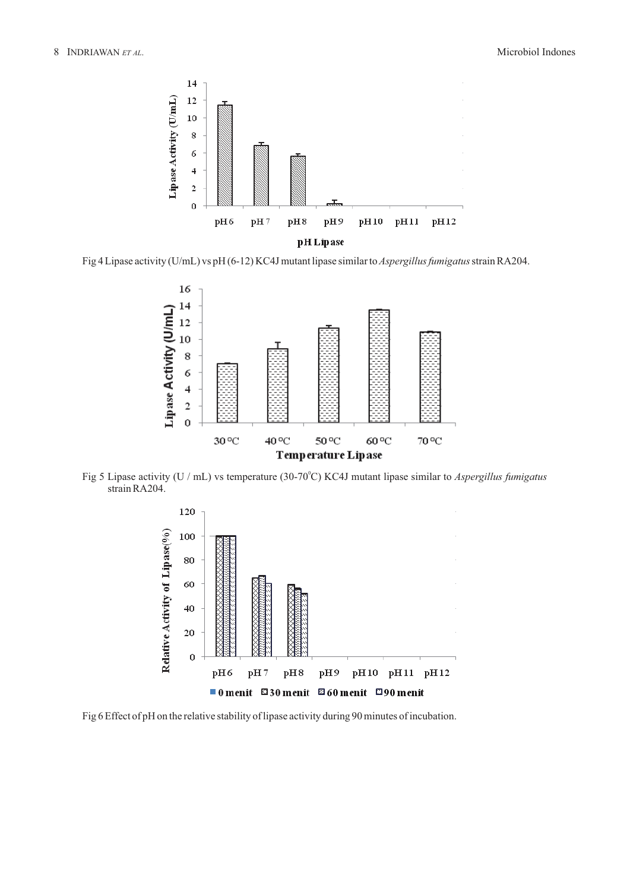

Fig 4 Lipase activity (U/mL) vs pH (6-12) KC4J mutant lipase similar to *Aspergillus fumigatus* strain RA204.



Fig 5 Lipase activity (U / mL) vs temperature (30-70<sup>°</sup>C) KC4J mutant lipase similar to *Aspergillus fumigatus* strain RA204.



Fig 6 Effect of pH on the relative stability of lipase activity during 90 minutes of incubation.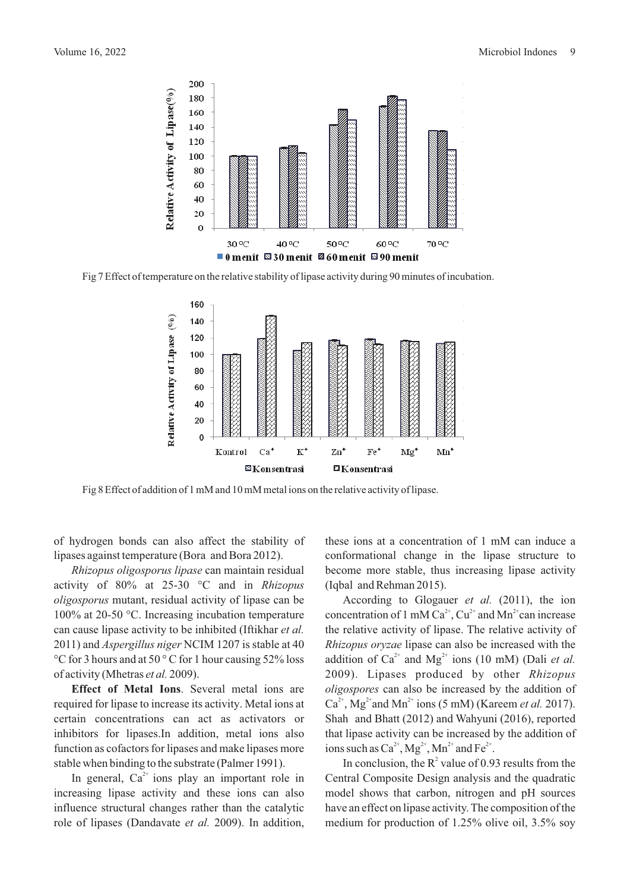

Fig 7 Effect of temperature on the relative stability of lipase activity during 90 minutes of incubation.



Fig 8 Effect of addition of 1 mM and 10 mM metal ions on the relative activity of lipase.

of hydrogen bonds can also affect the stability of lipases against temperature (Bora and Bora 2012).

*Rhizopus oligosporus lipase* can maintain residual activity of 80% at 25-30 °C and in *Rhizopus oligosporus* mutant, residual activity of lipase can be 100% at 20-50 °C. Increasing incubation temperature can cause lipase activity to be inhibited (Iftikhar *et al.* 2011) and *Aspergillus niger* NCIM 1207 is stable at 40 °C for 3 hours and at 50 ° C for 1 hour causing 52% loss of activity (Mhetras et al. 2009).

**Effect of Metal Ions**. Several metal ions are required for lipase to increase its activity. Metal ions at certain concentrations can act as activators or inhibitors for lipases.In addition, metal ions also function as cofactors for lipases and make lipases more stable when binding to the substrate (Palmer 1991).

In general,  $Ca^{2+}$  ions play an important role in increasing lipase activity and these ions can also influence structural changes rather than the catalytic role of lipases (Dandavate et al. 2009). In addition, these ions at a concentration of 1 mM can induce a conformational change in the lipase structure to become more stable, thus increasing lipase activity (Iqbal and Rehman 2015).

According to Glogauer *et al.* (2011), the ion concentration of 1 mM Ca<sup>2+</sup>, Cu<sup>2+</sup> and Mn<sup>2+</sup> can increase the relative activity of lipase. The relative activity of *Rhizopus oryzae* lipase can also be increased with the addition of  $Ca^{2+}$  and  $Mg^{2+}$  ions (10 mM) (Dali *et al.* 2009). Lipases produced by other *Rhizopus oligospores* can also be increased by the addition of  $Ca^{2+}$ , Mg<sup>2+</sup> and Mn<sup>2+</sup> ions (5 mM) (Kareem *et al.* 2017). Shah and Bhatt (2012) and Wahyuni (2016), reported that lipase activity can be increased by the addition of ions such as  $Ca^{2+}$ ,  $Mg^{2+}$ ,  $Mn^{2+}$  and  $Fe^{2+}$ .

In conclusion, the  $R^2$  value of 0.93 results from the Central Composite Design analysis and the quadratic model shows that carbon, nitrogen and pH sources have an effect on lipase activity. The composition of the medium for production of 1.25% olive oil, 3.5% soy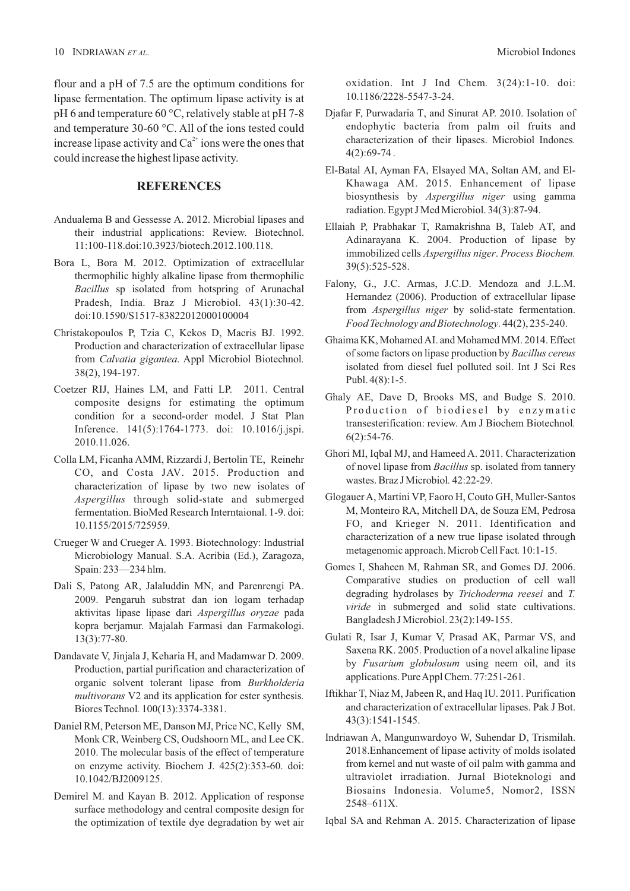flour and a pH of 7.5 are the optimum conditions for lipase fermentation. The optimum lipase activity is at pH 6 and temperature 60 °C, relatively stable at pH 7-8 and temperature 30-60 °C. All of the ions tested could increase lipase activity and  $Ca^{2+}$  ions were the ones that could increase the highest lipase activity.

### **REFERENCES**

- Andualema B and Gessesse A. 2012. Microbial lipases and their industrial applications: Review. Biotechnol. 11:100-118.doi:10.3923/biotech.2012.100.118.
- Bora L, Bora M. 2012. Optimization of extracellular thermophilic highly alkaline lipase from thermophilic *Bacillus* sp isolated from hotspring of Arunachal Pradesh, India. Braz J Microbiol. 43(1):30-42. doi:10.1590/S1517-83822012000100004
- Christakopoulos P, Tzia C, Kekos D, Macris BJ. 1992. Production and characterization of extracellular lipase from *Calvatia gigantea*. Appl Microbiol Biotechnol. 38(2), 194-197.
- Coetzer RIJ, Haines LM, and Fatti LP. 2011. Central composite designs for estimating the optimum condition for a second-order model. J Stat Plan Inference. 141(5):1764-1773. doi: 10.1016/j.jspi. 2010.11.026.
- Colla LM, Ficanha AMM, Rizzardi J, Bertolin TE, Reinehr CO, and Costa JAV. 2015. Production and characterization of lipase by two new isolates of *Aspergillus* through solid-state and submerged fermentation. BioMed Research Interntaional. 1-9. doi: 10.1155/2015/725959.
- Crueger W and Crueger A. 1993. Biotechnology: Industrial Microbiology Manual. S.A. Acribia (Ed.), Zaragoza, Spain: 233—234 hlm.
- Dali S, Patong AR, Jalaluddin MN, and Parenrengi PA. 2009. Pengaruh substrat dan ion logam terhadap aktivitas lipase lipase dari Aspergillus oryzae pada kopra berjamur. Majalah Farmasi dan Farmakologi.  $13(3)$ :77-80.
- Dandavate V, Jinjala J, Keharia H, and Madamwar D, 2009. Production, partial purification and characterization of organic solvent tolerant lipase from *Burkholderia multivorans* V2 and its application for ester synthesis*.* Biores Technol. 100(13):3374-3381.
- Daniel RM, Peterson ME, Danson MJ, Price NC, Kelly SM, Monk CR, Weinberg CS, Oudshoorn ML, and Lee CK. 2010. The molecular basis of the effect of temperature on enzyme activity. Biochem J. 425(2):353-60. doi: 10.1042/BJ2009125.
- Demirel M. and Kayan B. 2012. Application of response surface methodology and central composite design for the optimization of textile dye degradation by wet air

oxidation. Int J Ind Chem. 3(24):1-10. doi: 10.1186/2228-5547-3-24.

- Djafar F, Purwadaria T, and Sinurat AP. 2010. Isolation of endophytic bacteria from palm oil fruits and characterization of their lipases. Microbiol Indones.  $4(2):69-74.$
- El-Batal AI, Ayman FA, Elsayed MA, Soltan AM, and El-Khawaga AM. 2015. Enhancement of lipase biosynthesis by *Aspergillus niger* using gamma radiation. Egypt J Med Microbiol. 34(3):87-94.
- Ellaiah P, Prabhakar T, Ramakrishna B, Taleb AT, and Adinarayana K. 2004. Production of lipase by immobilized cells *Aspergillus niger. Process Biochem.* 39(5):525-528.
- Falony, G., J.C. Armas, J.C.D. Mendoza and J.L.M. Hernandez (2006). Production of extracellular lipase from *Aspergillus niger* by solid-state fermentation. *Food Technology and Biotechnology.* 44(2), 235-240.
- Ghaima KK, Mohamed AI. and Mohamed MM. 2014. Effect of some factors on lipase production by *Bacillus cereus* isolated from diesel fuel polluted soil. Int J Sci Res Publ.  $4(8)$ : 1-5.
- Ghaly AE, Dave D, Brooks MS, and Budge S. 2010. Production of biodiesel by enzymatic transesterification: review. Am J Biochem Biotechnol*.*  $6(2)$ :54-76.
- Ghori MI, Iqbal MJ, and Hameed A. 2011. Characterization of novel lipase from *Bacillus* sp. isolated from tannery wastes. Braz J Microbiol. 42:22-29.
- Glogauer A, Martini VP, Faoro H, Couto GH, Muller-Santos M, Monteiro RA, Mitchell DA, de Souza EM, Pedrosa FO, and Krieger N. 2011. Identification and characterization of a new true lipase isolated through metagenomic approach. Microb Cell Fact. 10:1-15.
- Gomes I, Shaheen M, Rahman SR, and Gomes DJ. 2006. Comparative studies on production of cell wall degrading hydrolases by *Trichoderma reesei* and *T*. *viride* in submerged and solid state cultivations. Bangladesh J Microbiol.  $23(2)$ : 149-155.
- Gulati R, Isar J, Kumar V, Prasad AK, Parmar VS, and Saxena RK. 2005. Production of a novel alkaline lipase by *Fusarium globulosum* using neem oil, and its applications. Pure Appl Chem. 77:251-261.
- Iftikhar T, Niaz M, Jabeen R, and Haq IU. 2011. Purification and characterization of extracellular lipases. Pak J Bot. 43(3) 1541-1545. :
- Indriawan A, Mangunwardoyo W, Suhendar D, Trismilah. 2018. Enhancement of lipase activity of molds isolated from kernel and nut waste of oil palm with gamma and ultraviolet irradiation. Jurnal Bioteknologi and Biosains Indonesia. Volume5, Nomor2, ISSN 2548–611X.
- Iqbal SA and Rehman A. 2015. Characterization of lipase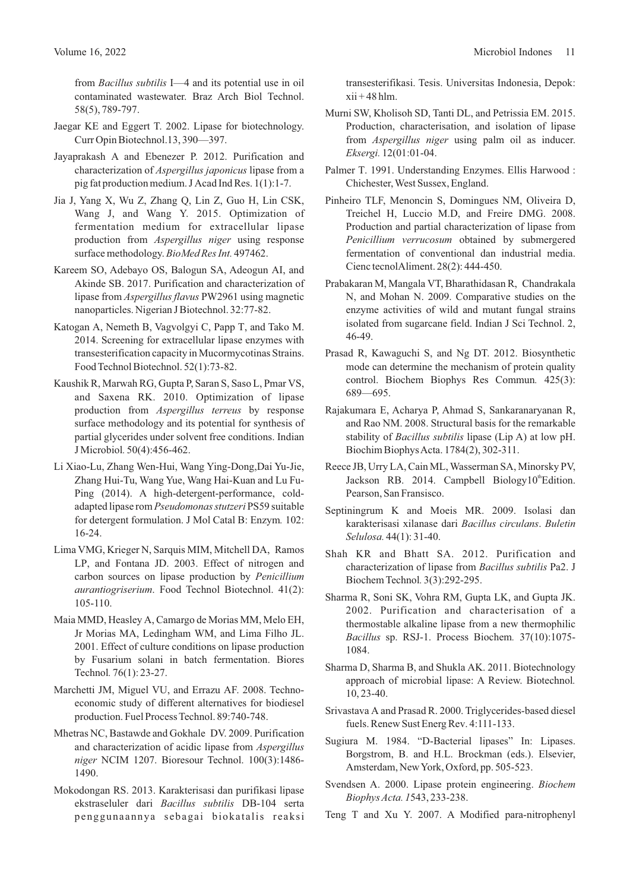from *Bacillus subtilis* I—4 and its potential use in oil contaminated wastewater. Braz Arch Biol Technol. 58(5), 789-797.

- Jaegar KE and Eggert T. 2002. Lipase for biotechnology. Curr Opin Biotechnol. 13, 390-397.
- Jayaprakash A and Ebenezer P. 2012. Purification and characterization of *Aspergillus japonicus* lipase from a pig fat production medium. J Acad Ind Res.  $1(1)$ : 1-7.
- Jia J, Yang X, Wu Z, Zhang Q, Lin Z, Guo H, Lin CSK, Wang J, and Wang Y. 2015. Optimization of fermentation medium for extracellular lipase production from *Aspergillus niger* using response surface methodology. BioMed Res Int. 497462.
- Kareem SO, Adebayo OS, Balogun SA, Adeogun AI, and Akinde SB. 2017. Purification and characterization of lipase from *Aspergillus flavus* PW2961 using magnetic nanoparticles. Nigerian J Biotechnol. 32:77-82.
- Katogan A, Nemeth B, Vagvolgyi C, Papp T, and Tako M. 2014. Screening for extracellular lipase enzymes with transesterification capacity in Mucormycotinas Strains. Food Technol Biotechnol. 52(1):73-82.
- Kaushik R, Marwah RG, Gupta P, Saran S, Saso L, Pmar VS, and Saxena RK. 2010. Optimization of lipase production from *Aspergillus terreus* by response surface methodology and its potential for synthesis of partial glycerides under solvent free conditions. Indian J Microbiol. 50(4):456-462.
- Li Xiao-Lu, Zhang Wen-Hui, Wang Ying-Dong,Dai Yu-Jie, Zhang Hui-Tu, Wang Yue, Wang Hai-Kuan and Lu Fu-Ping (2014). A high-detergent-performance, coldadapted lipase rom Pseudomonas stutzeri PS59 suitable for detergent formulation. J Mol Catal B: Enzym. 102: 16-24.
- Lima VMG, Krieger N, Sarquis MIM, Mitchell DA, Ramos LP, and Fontana JD. 2003. Effect of nitrogen and carbon sources on lipase production by *Penicillium aurantiogriserium*. Food Technol Biotechnol. 41(2): 105-110.
- Maia MMD, Heasley A, Camargo de Morias MM, Melo EH, Jr Morias MA, Ledingham WM, and Lima Filho JL. 2001. Effect of culture conditions on lipase production by Fusarium solani in batch fermentation. Biores Technol. 76(1): 23-27.
- Marchetti JM, Miguel VU, and Errazu AF. 2008. Technoeconomic study of different alternatives for biodiesel production. Fuel Process Technol. 89:740-748.
- Mhetras NC, Bastawde and Gokhale DV. 2009. Purification and characterization of acidic lipase from *Aspergillus niger* NCIM 1207. Bioresour Technol. 100(3):1486-1490.
- Mokodongan RS. 2013. Karakterisasi dan purifikasi lipase ekstraseluler dari DB-104 serta *Bacillus subtilis* penggunaannya sebagai biokatalis reaksi

transesterifikasi. Tesis. Universitas Indonesia, Depok:  $xii + 48$  hlm.

- Murni SW, Kholisoh SD, Tanti DL, and Petrissia EM. 2015. Production, characterisation, and isolation of lipase from Aspergillus niger using palm oil as inducer. *Eksergi.* 12(01:01-04.
- Palmer T. 1991. Understanding Enzymes. Ellis Harwood : Chichester, West Sussex, England.
- Pinheiro TLF, Menoncin S, Domingues NM, Oliveira D, Treichel H, Luccio M.D, and Freire DMG. 2008. Production and partial characterization of lipase from *Penicillium verrucosum* obtained by submergered fermentation of conventional dan industrial media. Cienc tecnolAliment.  $28(2)$ : 444-450.
- Prabakaran M, Mangala VT, Bharathidasan R, Chandrakala N, and Mohan N. 2009. Comparative studies on the enzyme activities of wild and mutant fungal strains isolated from sugarcane field. Indian J Sci Technol. 2, 46-49.
- Prasad R, Kawaguchi S, and Ng DT. 2012. Biosynthetic mode can determine the mechanism of protein quality control. 425(3): Biochem Biophys Res Commun*.* 689—695.
- Rajakumara E, Acharya P, Ahmad S, Sankaranaryanan R, and Rao NM. 2008. Structural basis for the remarkable stability of *Bacillus subtilis* lipase (Lip A) at low pH. Biochim Biophys Acta. 1784(2), 302-311.
- Reece JB, Urry LA, Cain ML, Wasserman SA, Minorsky PV, Jackson RB. 2014. Campbell Biology10 Edition. Pearson, San Fransisco.
- Septiningrum K and Moeis MR. 2009. Isolasi dan karakterisasi xilanase dari . *Bacillus circulans Buletin Selulosa.* 44(1): 31-40.
- Shah KR and Bhatt SA. 2012. Purification and characterization of lipase from Bacillus subtilis Pa2. J Biochem Technol. 3(3):292-295.
- Sharma R, Soni SK, Vohra RM, Gupta LK, and Gupta JK. 2002. Purification and characterisation of a thermostable alkaline lipase from a new thermophilic *Bacillus* sp. RSJ-1. Process Biochem. 37(10):1075-1084.
- Sharma D, Sharma B, and Shukla AK. 2011. Biotechnology approach of microbial lipase: A Review. Biotechnol*.* 10, 23-40.
- Srivastava A and Prasad R. 2000. Triglycerides-based diesel fuels. Renew Sust Energ Rev. 4:111-133.
- Sugiura M. 1984. "D-Bacterial lipases" In: Lipases. Borgstrom, B. and H.L. Brockman (eds.). Elsevier, Amsterdam, NewYork, Oxford, pp. 505-523.
- Svendsen A. 2000. Lipase protein engineering. *Biochem Biophys Acta. 1*543, 233-238.
- Teng T and Xu Y. 2007. A Modified para-nitrophenyl